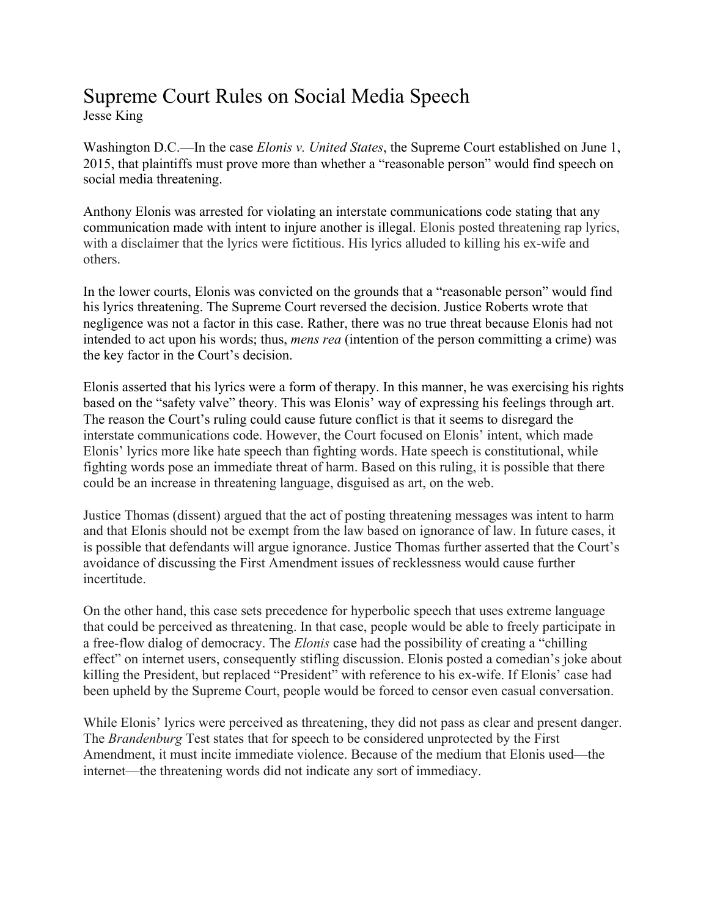## Supreme Court Rules on Social Media Speech

Jesse King

Washington D.C.—In the case *Elonis v. United States*, the Supreme Court established on June 1, 2015, that plaintiffs must prove more than whether a "reasonable person" would find speech on social media threatening.

Anthony Elonis was arrested for violating an interstate communications code stating that any communication made with intent to injure another is illegal. Elonis posted threatening rap lyrics, with a disclaimer that the lyrics were fictitious. His lyrics alluded to killing his ex-wife and others.

In the lower courts, Elonis was convicted on the grounds that a "reasonable person" would find his lyrics threatening. The Supreme Court reversed the decision. Justice Roberts wrote that negligence was not a factor in this case. Rather, there was no true threat because Elonis had not intended to act upon his words; thus, *mens rea* (intention of the person committing a crime) was the key factor in the Court's decision.

Elonis asserted that his lyrics were a form of therapy. In this manner, he was exercising his rights based on the "safety valve" theory. This was Elonis' way of expressing his feelings through art. The reason the Court's ruling could cause future conflict is that it seems to disregard the interstate communications code. However, the Court focused on Elonis' intent, which made Elonis' lyrics more like hate speech than fighting words. Hate speech is constitutional, while fighting words pose an immediate threat of harm. Based on this ruling, it is possible that there could be an increase in threatening language, disguised as art, on the web.

Justice Thomas (dissent) argued that the act of posting threatening messages was intent to harm and that Elonis should not be exempt from the law based on ignorance of law. In future cases, it is possible that defendants will argue ignorance. Justice Thomas further asserted that the Court's avoidance of discussing the First Amendment issues of recklessness would cause further incertitude.

On the other hand, this case sets precedence for hyperbolic speech that uses extreme language that could be perceived as threatening. In that case, people would be able to freely participate in a free-flow dialog of democracy. The *Elonis* case had the possibility of creating a "chilling effect" on internet users, consequently stifling discussion. Elonis posted a comedian's joke about killing the President, but replaced "President" with reference to his ex-wife. If Elonis' case had been upheld by the Supreme Court, people would be forced to censor even casual conversation.

While Elonis' lyrics were perceived as threatening, they did not pass as clear and present danger. The *Brandenburg* Test states that for speech to be considered unprotected by the First Amendment, it must incite immediate violence. Because of the medium that Elonis used—the internet—the threatening words did not indicate any sort of immediacy.